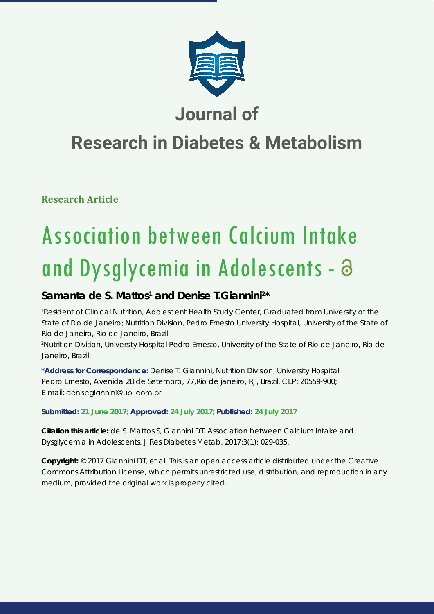

## **Journal of**

# **Research in Diabetes & Metabolism**

**Research Article**

# Association between Calcium Intake and Dysglycemia in Adolescents -

### Samanta de S. Mattos<sup>1</sup> and Denise T. Giannini<sup>2\*</sup>

*1 Resident of Clinical Nutrition, Adolescent Health Study Center, Graduated from University of the State of Rio de Janeiro; Nutrition Division, Pedro Ernesto University Hospital, University of the State of Rio de Janeiro, Rio de Janeiro, Brazil 2 Nutrition Division, University Hospital Pedro Ernesto, University of the State of Rio de Janeiro, Rio de Janeiro, Brazil*

**\*Address for Correspondence:** Denise T. Giannini, Nutrition Division, University Hospital Pedro Ernesto, Avenida 28 de Setembro, 77,Rio de janeiro, RJ, Brazil, CEP: 20559-900; E-mail: denisegiannini@uol.com.br

#### **Submitted: 21 June 2017; Approved: 24 July 2017; Published: 24 July 2017**

**Citation this article:** de S. Mattos S, Giannini DT. Association between Calcium Intake and Dysglycemia in Adolescents. J Res Diabetes Metab. 2017;3(1): 029-035.

**Copyright:** © 2017 Giannini DT, et al. This is an open access article distributed under the Creative Commons Attribution License, which permits unrestricted use, distribution, and reproduction in any medium, provided the original work is properly cited.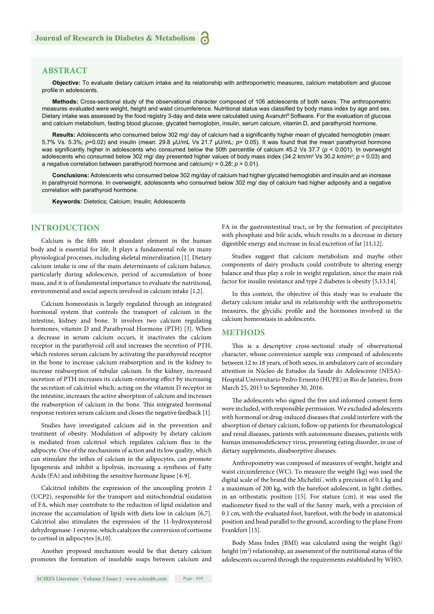#### **ABSTRACT**

**Objective:** To evaluate dietary calcium intake and its relationship with anthropometric measures, calcium metabolism and glucose profile in adolescents.

**Methods:** Cross-sectional study of the observational character composed of 106 adolescents of both sexes. The anthropometric measures evaluated were weight, height and waist circumference. Nutritional status was classified by body mass index by age and sex. Dietary intake was assessed by the food registry 3-day and data were calculated using Avanutri® Software. For the evaluation of glucose and calcium metabolism, fasting blood glucose, glycated hemoglobin, insulin, serum calcium, vitamin D, and parathyroid hormone.

Results: Adolescents who consumed below 302 mg/ day of calcium had a significantly higher mean of glycated hemoglobin (mean: 5.7% Vs. 5.3%; *p*=0.02) and insulin (mean: 29.8 μU/mL Vs 21.7 μU/mL; *p*= 0.05). It was found that the mean parathyroid hormone was significantly higher in adolescents who consumed below the 50th percentile of calcium 45.2 Vs 37.7 (*p* < 0.001). In overweight adolescents who consumed below 302 mg/ day presented higher values of body mass index  $(34.2 \text{ km/m}^2 \text{ Vs } 30.2 \text{ km/m}^2; p = 0.03)$  and a negative correlation between parathyroid hormone and calcium(*r* = 0.28; *p* = 0.01).

**Conclusions:** Adolescents who consumed below 302 mg/day of calcium had higher glycated hemoglobin and insulin and an increase in parathyroid hormone. In overweight, adolescents who consumed below 302 mg/ day of calcium had higher adiposity and a negative correlation with parathyroid hormone.

**Keywords:** Dietetics; Calcium; Insulin; Adolescents

#### **INTRODUCTION**

Calcium is the fifth most abundant element in the human body and is essential for life. It plays a fundamental role in many physiological processes, including skeletal mineralization [1]. Dietary calcium intake is one of the main determinants of calcium balance, particularly during adolescence, period of accumulation of bone mass, and it is of fundamental importance to evaluate the nutritional, environmental and social aspects involved in calcium intake [1,2].

Calcium homeostasis is largely regulated through an integrated hormonal system that controls the transport of calcium in the intestine, kidney and bone. It involves two calcium regulating hormones, vitamin D and Parathyroid Hormone (PTH) [3]. When a decrease in serum calcium occurs, it inactivates the calcium receptor in the parathyroid cell and increases the secretion of PTH, which restores serum calcium by activating the parathyroid receptor in the bone to increase calcium reabsorption and in the kidney to increase reabsorption of tubular calcium. In the kidney, increased secretion of PTH increases its calcium-restoring effect by increasing the secretion of calcitriol which, acting on the vitamin D receptor in the intestine, increases the active absorption of calcium and increases the reabsorption of calcium in the bone. This integrated hormonal response restores serum calcium and closes the negative feedback [1].

Studies have investigated calcium aid in the prevention and treatment of obesity. Modulation of adiposity by dietary calcium is mediated from calcitriol which regulates calcium flux in the adipocyte. One of the mechanisms of action and its low quality, which can stimulate the influx of calcium in the adipocytes, can promote lipogenesis and inhibit a lipolysis, increasing a synthesis of Fatty Acids (FA) and inhibiting the sensitive hormone lipase [4-9].

Calcitriol inhibits the expression of the uncoupling protein 2 (UCP2), responsible for the transport and mitochondrial oxidation of FA, which may contribute to the reduction of lipid oxidation and increase the accumulation of lipids with diets low in calcium [6,7]. Calcitriol also stimulates the expression of the 11-hydroxysteroid dehydrogenase-1 enzyme, which catalyzes the conversion of cortisone to cortisol in adipocytes [6,10].

Another proposed mechanism would be that dietary calcium promotes the formation of insoluble soaps between calcium and FA in the gastrointestinal tract, or by the formation of precipitates with phosphate and bile acids, which results in a decrease in dietary digestible energy and increase in fecal excretion of fat [11,12].

Studies suggest that calcium metabolism and maybe other components of dairy products could contribute to altering energy balance and thus play a role in weight regulation, since the main risk factor for insulin resistance and type 2 diabetes is obesity [5,13,14].

In this context, the objective of this study was to evaluate the dietary calcium intake and its relationship with the anthropometric measures, the glycidic profile and the hormones involved in the calcium homeostasis in adolescents.

#### **METHODS**

This is a descriptive cross-sectional study of observational character, whose convenience sample was composed of adolescents between 12 to 18 years, of both sexes, in ambulatory care of secondary attention in Núcleo de Estudos da Saude do Adolescente (NESA)- Hospital Universitario Pedro Ernesto (HUPE) in Rio de Janeiro, from March 25, 2015 to September 30, 2016.

The adolescents who signed the free and informed consent form were included, with responsible permission. We excluded adolescents with hormonal or drug-induced diseases that could interfere with the absorption of dietary calcium, follow-up patients for rheumatological and renal diseases, patients with autoimmune diseases, patients with human immunodeficiency virus, presenting eating disorder, in use of dietary supplements, disabsorptive diseases.

Anthropometry was composed of measures of weight, height and waist circumference (WC). To measure the weight (kg) was used the digital scale of the brand the Micheliti', with a precision of 0.1 kg and a maximum of 200 kg, with the barefoot adolescent, in light clothes, in an orthostatic position [15]. For stature (cm), it was used the stadiometer fixed to the wall of the Sanny' mark, with a precision of 0.1 cm, with the evaluated foot, barefoot, with the body in anatomical position and head parallel to the ground, according to the plane From Frankfurt [15].

Body Mass Index (BMI) was calculated using the weight (kg)/ height (m<sup>2</sup>) relationship, an assessment of the nutritional status of the adolescents occurred through the requirements established by WHO,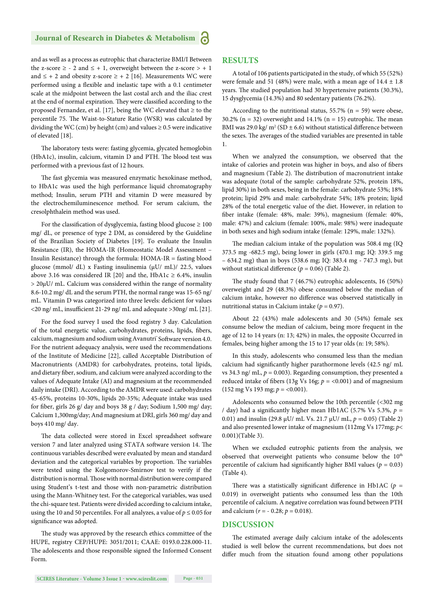#### **Journal of Research in Diabetes & Metabolism**

and as well as a process as eutrophic that characterize BMI/I Between the z-score  $\geq$  - 2 and  $\leq$  + 1, overweight between the z-score  $>$  + 1 and  $\leq$  + 2 and obesity z-score  $\geq$  + 2 [16]. Measurements WC were performed using a flexible and inelastic tape with a 0.1 centimeter scale at the midpoint between the last costal arch and the iliac crest at the end of normal expiration. They were classified according to the proposed Fernandez, et al. [17], being the WC elevated that  $\geq$  to the percentile 75. The Waist-to-Stature Ratio (WSR) was calculated by dividing the WC (cm) by height (cm) and values  $\geq$  0.5 were indicative of elevated [18].

The laboratory tests were: fasting glycemia, glycated hemoglobin ( $HbA1c$ ), insulin, calcium, vitamin D and PTH. The blood test was performed with a previous fast of 12 hours.

The fast glycemia was measured enzymatic hexokinase method, to HbA1c was used the high performance liquid chromatography method; Insulin, serum PTH and vitamin D were measured by the electrochemiluminescence method. For serum calcium, the cresolphthalein method was used.

For the classification of dysglycemia, fasting blood glucose  $\geq 100$ mg/ dL, or presence of type 2 DM, as considered by the Guideline of the Brazilian Society of Diabetes [19]. To evaluate the Insulin Resistance (IR), the HOMA-IR (Homeostatic Model Assessment – Insulin Resistance) through the formula: HOMA-IR = fasting blood glucose (mmol/ dL) x Fasting insulinemia (μU/ mL)/ 22.5, values above 3.16 was considered IR [20] and the, HbA1c  $\geq$  6.4%, insulin > 20μU/ mL. Calcium was considered within the range of normality 8.6-10.2 mg/ dL and the serum PTH, the normal range was 15-65 ng/ mL. Vitamin D was categorized into three levels: deficient for values  $\langle$ 20 ng/ mL, insufficient 21-29 ng/ mL and adequate >30ng/ mL [21].

For the food survey I used the food registry 3 day. Calculation of the total energetic value, carbohydrates, proteins, lipids, fibers, calcium, magnesium and sodium using Avanutri' Software version 4.0. For the nutrient adequacy analysis, were used the recommendations of the Institute of Medicine [22], called Acceptable Distribution of Macronutrients (AMDR) for carbohydrates, proteins, total lipids, and dietary fiber, sodium, and calcium were analyzed according to the values of Adequate Intake (AI) and magnesium at the recommended daily intake (DRI). According to the AMDR were used: carbohydrates 45-65%, proteins 10-30%, lipids 20-35%; Adequate intake was used for fiber, girls 26 g/ day and boys 38 g / day; Sodium 1,500 mg/ day; Calcium 1,300mg/day; And magnesium at DRI, girls 360 mg/ day and boys 410 mg/ day.

The data collected were stored in Excel spreadsheet software version 7 and later analyzed using STATA software version 14. The continuous variables described were evaluated by mean and standard deviation and the categorical variables by proportion. The variables were tested using the Kolgomorov-Smirnov test to verify if the distribution is normal. Those with normal distribution were compared using Student's t-test and those with non-parametric distribution using the Mann-Whitney test. For the categorical variables, was used the chi-square test. Patients were divided according to calcium intake, using the 10 and 50 percentiles. For all analyzes, a value of  $p \le 0.05$  for significance was adopted.

The study was approved by the research ethics committee of the HUPE, registry CEP/HUPE: 3051/2011; CAAE: 0193.0.228.000-11. The adolescents and those responsible signed the Informed Consent Form.

#### **RESULTS**

A total of 106 patients participated in the study, of which 55 (52%) were female and 51 (48%) were male, with a mean age of  $14.4 \pm 1.8$ years. The studied population had 30 hypertensive patients (30.3%), 15 dysglycemia (14.3%) and 80 sedentary patients (76.2%).

According to the nutritional status,  $55.7\%$  (n = 59) were obese, 30.2% ( $n = 32$ ) overweight and 14.1% ( $n = 15$ ) eutrophic. The mean BMI was 29.0 kg/  $m^2 (SD \pm 6.6)$  without statistical difference between the sexes. The averages of the studied variables are presented in table 1.

When we analyzed the consumption, we observed that the intake of calories and protein was higher in boys, and also of fibers and magnesium (Table 2). The distribution of macronutrient intake was adequate (total of the sample: carbohydrate 52%, protein 18%, lipid 30%) in both sexes, being in the female: carbohydrate 53%; 18% protein; lipid 29% and male: carbohydrate 54%; 18% protein; lipid 28% of the total energetic value of the diet. However, in relation to fiber intake (female: 48%, male: 39%), magnesium (female: 40%, male: 47%) and calcium (female: 100%, male: 98%) were inadequate in both sexes and high sodium intake (female: 129%, male: 132%).

The median calcium intake of the population was 508.4 mg (IQ 373.5 mg -682.5 mg), being lower in girls (470.1 mg; IQ: 339.5 mg – 634.2 mg) than in boys (538.6 mg; IQ: 383.4 mg - 747.3 mg), but without statistical difference ( $p = 0.06$ ) (Table 2).

The study found that 7 (46.7%) eutrophic adolescents, 16 (50%) overweight and 29 (48.3%) obese consumed below the median of calcium intake, however no difference was observed statistically in nutritional status in Calcium intake ( $p = 0.97$ ).

About 22 (43%) male adolescents and 30 (54%) female sex consume below the median of calcium, being more frequent in the age of 12 to 14 years (n: 13; 42%) in males, the opposite Occurred in females, being higher among the 15 to 17 year olds (n: 19; 58%).

In this study, adolescents who consumed less than the median calcium had significantly higher parathormone levels (42.5 ng/ mL vs 34.3 ng/ mL,  $p = 0.003$ ). Regarding consumption, they presented a reduced intake of fibers (13g Vs 16g;  $p = <0.001$ ) and of magnesium  $(152 \text{ mg Vs } 193 \text{ mg}; p = <0.001)$ .

Adolescents who consumed below the 10th percentile (<302 mg / day) had a significantly higher mean Hb1AC (5.7% Vs 5.3%,  $p =$ 0.01) and insulin (29.8 μU/ mL Vs. 21.7 μU/ mL, *p* = 0.05) (Table 2) and also presented lower intake of magnesium (112mg Vs 177mg; *p*< 0.001)(Table 3).

When we excluded eutrophic patients from the analysis, we observed that overweight patients who consume below the 10<sup>th</sup> percentile of calcium had significantly higher BMI values ( $p = 0.03$ ) (Table 4).

There was a statistically significant difference in Hb1AC ( $p =$ 0.019) in overweight patients who consumed less than the 10th percentile of calcium. A negative correlation was found between PTH and calcium ( $r = -0.28$ ;  $p = 0.018$ ).

#### **DISCUSSION**

The estimated average daily calcium intake of the adolescents studied is well below the current recommendations, but does not differ much from the situation found among other populations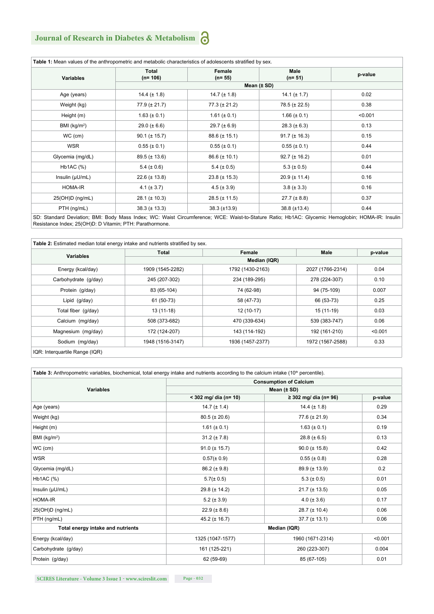## **Journal of Research in Diabetes & Metabolism**  $\bigodot$

| Table 1: Mean values of the anthropometric and metabolic characteristics of adolescents stratified by sex.                                       |                    |                     |                         |         |  |
|--------------------------------------------------------------------------------------------------------------------------------------------------|--------------------|---------------------|-------------------------|---------|--|
| <b>Variables</b>                                                                                                                                 | Total<br>$(n=106)$ | Female<br>$(n= 55)$ | <b>Male</b><br>$(n=51)$ | p-value |  |
|                                                                                                                                                  |                    | Mean $(\pm SD)$     |                         |         |  |
| Age (years)                                                                                                                                      | 14.4 $(\pm 1.8)$   | 14.7 $(\pm 1.8)$    | 14.1 ( $\pm$ 1.7)       | 0.02    |  |
| Weight (kg)                                                                                                                                      | $77.9 (\pm 21.7)$  | $77.3 (\pm 21.2)$   | $78.5 (\pm 22.5)$       | 0.38    |  |
| Height (m)                                                                                                                                       | $1.63 (\pm 0.1)$   | 1.61 ( $\pm$ 0.1)   | $1.66 (\pm 0.1)$        | < 0.001 |  |
| BMI (kg/m <sup>2</sup> )                                                                                                                         | $29.0 (\pm 6.6)$   | $29.7 (\pm 6.9)$    | $28.3 (\pm 6.3)$        | 0.13    |  |
| $WC$ (cm)                                                                                                                                        | $90.1 (\pm 15.7)$  | $88.6 (\pm 15.1)$   | $91.7 (\pm 16.3)$       | 0.15    |  |
| <b>WSR</b>                                                                                                                                       | $0.55 (\pm 0.1)$   | $0.55 (\pm 0.1)$    | $0.55 (\pm 0.1)$        | 0.44    |  |
| Glycemia (mg/dL)                                                                                                                                 | $89.5 (\pm 13.6)$  | $86.6 (\pm 10.1)$   | $92.7 (\pm 16.2)$       | 0.01    |  |
| $Hb1AC$ (%)                                                                                                                                      | $5.4 (\pm 0.6)$    | $5.4 (\pm 0.5)$     | $5.3 (\pm 0.5)$         | 0.44    |  |
| Insulin $(\mu U/mL)$                                                                                                                             | $22.6 (\pm 13.8)$  | $23.8 (\pm 15.3)$   | $20.9 (\pm 11.4)$       | 0.16    |  |
| HOMA-IR                                                                                                                                          | 4.1 ( $\pm$ 3.7)   | $4.5 (\pm 3.9)$     | $3.8 (\pm 3.3)$         | 0.16    |  |
| 25(OH)D (ng/mL)                                                                                                                                  | $28.1 (\pm 10.3)$  | $28.5 (\pm 11.5)$   | $27.7 (\pm 8.8)$        | 0.37    |  |
| PTH (ng/mL)                                                                                                                                      | $38.3 (\pm 13.3)$  | $38.3 \ (\pm 13.9)$ | $38.8 (\pm 13.4)$       | 0.44    |  |
| SD: Standard Deviation: BMI: Body Mass Index: WC: Waist Circumference: WCE: Waist-to-Stature Ratio: Hb1AC: Glycemic Hemoglobin: HOMA-IR: Insulin |                    |                     |                         |         |  |

SD: Standard Deviation; BMI: Body Mass Index; WC: Waist Circumference; WCE: Waist-to-Stature Ratio; Hb1AC: Glycemic Hemoglobin; HOMA-IR: Insulin Resistance Index; 25(OH)D: D Vitamin; PTH: Parathormone.

|                      | Total            | Female           | Male             | p-value |
|----------------------|------------------|------------------|------------------|---------|
| <b>Variables</b>     | Median (IQR)     |                  |                  |         |
| Energy (kcal/day)    | 1909 (1545-2282) | 1792 (1430-2163) | 2027 (1766-2314) | 0.04    |
| Carbohydrate (q/day) | 245 (207-302)    | 234 (189-295)    | 278 (224-307)    | 0.10    |
| Protein (g/day)      | 83 (65-104)      | 74 (62-98)       | 94 (75-109)      | 0.007   |
| Lipid (g/day)        | 61 (50-73)       | 58 (47-73)       | 66 (53-73)       | 0.25    |
| Total fiber (g/day)  | 13 (11-18)       | 12 (10-17)       | 15 (11-19)       | 0.03    |
| Calcium (mg/day)     | 508 (373-682)    | 470 (339-634)    | 539 (383-747)    | 0.06    |
| Magnesium (mg/day)   | 172 (124-207)    | 143 (114-192)    | 192 (161-210)    | < 0.001 |
| Sodium (mg/day)      | 1948 (1516-3147) | 1936 (1457-2377) | 1972 (1567-2588) | 0.33    |

| <b>Consumption of Calcium</b>     |                         |                       |         |  |
|-----------------------------------|-------------------------|-----------------------|---------|--|
| <b>Variables</b>                  | Mean $(\pm SD)$         |                       |         |  |
|                                   | $<$ 302 mg/ dia (n= 10) | ≥ 302 mg/ dia (n= 96) | p-value |  |
| Age (years)                       | 14.7 $(\pm 1.4)$        | 14.4 $(\pm 1.8)$      | 0.29    |  |
| Weight (kg)                       | $80.5 (\pm 20.6)$       | $77.6 (\pm 21.9)$     | 0.34    |  |
| Height (m)                        | 1.61 ( $\pm$ 0.1)       | $1.63 (\pm 0.1)$      | 0.19    |  |
| BMI $(kg/m2)$                     | $31.2 (\pm 7.8)$        | $28.8 (\pm 6.5)$      | 0.13    |  |
| WC (cm)                           | $91.0 (\pm 15.7)$       | $90.0 (\pm 15.8)$     | 0.42    |  |
| <b>WSR</b>                        | $0.57 (\pm 0.9)$        | $0.55 (\pm 0.8)$      | 0.28    |  |
| Glycemia (mg/dL)                  | $86.2 (\pm 9.8)$        | $89.9 (\pm 13.9)$     | 0.2     |  |
| Hb1AC (%)                         | $5.7(\pm 0.5)$          | 5.3 ( $\pm$ 0.5)      | 0.01    |  |
| Insulin $(\mu U/mL)$              | $29.8 (\pm 14.2)$       | $21.7 (\pm 13.5)$     | 0.05    |  |
| <b>HOMA-IR</b>                    | $5.2 (\pm 3.9)$         | $4.0 (\pm 3.6)$       | 0.17    |  |
| 25(OH)D (ng/mL)                   | $22.9 (\pm 8.6)$        | $28.7 (\pm 10.4)$     | 0.06    |  |
| PTH (ng/mL)                       | 45.2 ( $\pm$ 16.7)      | $37.7 (\pm 13.1)$     | 0.06    |  |
| Total energy intake and nutrients | Median (IQR)            |                       |         |  |
| Energy (kcal/day)                 | 1325 (1047-1577)        | 1960 (1671-2314)      | < 0.001 |  |
| Carbohydrate (g/day)              | 161 (125-221)           | 260 (223-307)         | 0.004   |  |
| Protein (g/day)                   | 62 (59-69)              | 85 (67-105)           | 0.01    |  |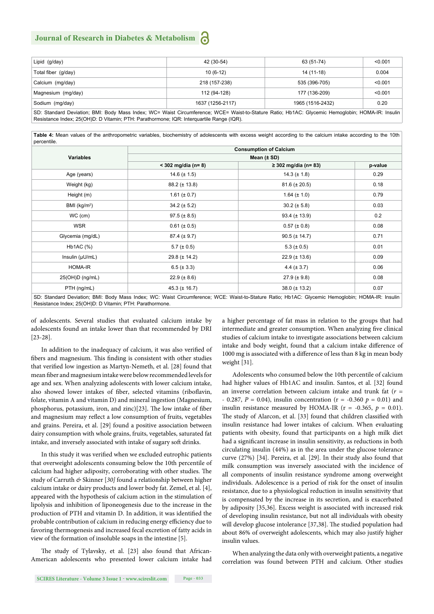#### **Journal of Research in Diabetes & Metabolism**

| Lipid (g/day)       | 42 (30-54)       | 63 (51-74)       | < 0.001 |  |
|---------------------|------------------|------------------|---------|--|
| Total fiber (g/day) | $10(6-12)$       | 14 (11-18)       | 0.004   |  |
| Calcium (mg/day)    | 218 (157-238)    | 535 (396-705)    | < 0.001 |  |
| Magnesium (mg/day)  | 112 (94-128)     | 177 (136-209)    | < 0.001 |  |
| Sodium (mg/day)     | 1637 (1256-2117) | 1965 (1516-2432) | 0.20    |  |
|                     |                  |                  |         |  |

SD: Standard Deviation; BMI: Body Mass Index; WC= Waist Circumference; WCE= Waist-to-Stature Ratio; Hb1AC: Glycemic Hemoglobin; HOMA-IR: Insulin Resistance Index; 25(OH)D: D Vitamin; PTH: Parathormone; IQR: Interquartile Range (IQR).

**Table 4:** Mean values of the anthropometric variables, biochemistry of adolescents with excess weight according to the calcium intake according to the 10th percentile.

|                                                                                                                                                                                                              | <b>Consumption of Calcium</b> |                        |         |  |  |
|--------------------------------------------------------------------------------------------------------------------------------------------------------------------------------------------------------------|-------------------------------|------------------------|---------|--|--|
| <b>Variables</b>                                                                                                                                                                                             | Mean $(\pm SD)$               |                        |         |  |  |
|                                                                                                                                                                                                              | $<$ 302 mg/dia (n= 8)         | $≥ 302$ mg/dia (n= 83) | p-value |  |  |
| Age (years)                                                                                                                                                                                                  | 14.6 $(\pm 1.5)$              | $14.3 (\pm 1.8)$       | 0.29    |  |  |
| Weight (kg)                                                                                                                                                                                                  | $88.2 (\pm 13.8)$             | $81.6 (\pm 20.5)$      | 0.18    |  |  |
| Height (m)                                                                                                                                                                                                   | 1.61 ( $\pm$ 0.7)             | $1.64 (\pm 1.0)$       | 0.79    |  |  |
| BMI $(kg/m2)$                                                                                                                                                                                                | $34.2 (\pm 5.2)$              | $30.2 (\pm 5.8)$       | 0.03    |  |  |
| $WC$ (cm)                                                                                                                                                                                                    | $97.5 (\pm 8.5)$              | $93.4 (\pm 13.9)$      | 0.2     |  |  |
| <b>WSR</b>                                                                                                                                                                                                   | $0.61 (\pm 0.5)$              | $0.57 (\pm 0.8)$       | 0.08    |  |  |
| Glycemia (mg/dL)                                                                                                                                                                                             | $87.4 (\pm 9.7)$              | $90.5 (\pm 14.7)$      | 0.71    |  |  |
| $Hb1AC$ (%)                                                                                                                                                                                                  | $5.7 (\pm 0.5)$               | $5.3 (\pm 0.5)$        | 0.01    |  |  |
| Insulin $(\mu U/mL)$                                                                                                                                                                                         | $29.8 (\pm 14.2)$             | $22.9 \ (\pm 13.6)$    | 0.09    |  |  |
| HOMA-IR                                                                                                                                                                                                      | $6.5 (\pm 3.3)$               | 4.4 $(\pm 3.7)$        | 0.06    |  |  |
| 25(OH)D (ng/mL)                                                                                                                                                                                              | $22.9 (\pm 8.6)$              | $27.9 (\pm 9.8)$       | 0.08    |  |  |
| PTH (ng/mL)                                                                                                                                                                                                  | $45.3 (\pm 16.7)$             | $38.0 (\pm 13.2)$      | 0.07    |  |  |
| SD: Standard Deviation; BMI: Body Mass Index; WC: Waist Circumference; WCE: Waist-to-Stature Ratio; Hb1AC: Glycemic Hemoglobin; HOMA-IR: Insulin<br>Resistance Index; 25(OH)D: D Vitamin; PTH: Parathormone. |                               |                        |         |  |  |

of adolescents. Several studies that evaluated calcium intake by adolescents found an intake lower than that recommended by DRI [23-28].

In addition to the inadequacy of calcium, it was also verified of fibers and magnesium. This finding is consistent with other studies that verified low ingestion as Martyn-Nemeth, et al. [28] found that mean fiber and magnesium intake were below recommended levels for age and sex. When analyzing adolescents with lower calcium intake, also showed lower intakes of fiber, selected vitamins (riboflavin, folate, vitamin A and vitamin D) and mineral ingestion (Magnesium, phosphorus, potassium, iron, and zinc)[23]. The low intake of fiber and magnesium may reflect a low consumption of fruits, vegetables and grains. Pereira, et al. [29] found a positive association between dairy consumption with whole grains, fruits, vegetables, saturated fat intake, and inversely associated with intake of sugary soft drinks.

In this study it was verified when we excluded eutrophic patients that overweight adolescents consuming below the 10th percentile of calcium had higher adiposity, corroborating with other studies. The study of Carruth *&* Skinner [*30]* found a relationship between higher calcium intake or dairy products and lower body fat. Zemel, et al. [4], appeared with the hypothesis of calcium action in the stimulation of lipolysis and inhibition of liponeogenesis due to the increase in the production of PTH and vitamin D. In addition, it was identified the probable contribution of calcium in reducing energy efficiency due to favoring thermogenesis and increased fecal excretion of fatty acids in view of the formation of insoluble soaps in the intestine [5].

The study of Tylavsky, et al. [23] also found that African-American adolescents who presented lower calcium intake had a higher percentage of fat mass in relation to the groups that had intermediate and greater consumption. When analyzing five clinical studies of calcium intake to investigate associations between calcium intake and body weight, found that a calcium intake difference of 1000 mg is associated with a difference of less than 8 kg in mean body weight [31].

Adolescents who consumed below the 10th percentile of calcium had higher values of Hb1AC and insulin. Santos, et al. [32] found an inverse correlation between calcium intake and trunk fat (*r* = - 0.287,  $P = 0.04$ ), insulin concentration ( $r = -0.360$   $p = 0.01$ ) and insulin resistance measured by HOMA-IR ( $r = -0.365$ ,  $p = 0.01$ ). The study of Alarcon, et al. [33] found that children classified with insulin resistance had lower intakes of calcium. When evaluating patients with obesity, found that participants on a high milk diet had a significant increase in insulin sensitivity, as reductions in both circulating insulin (44%) as in the area under the glucose tolerance curve (27%) [34]. Pereira, et al. [29]. In their study also found that milk consumption was inversely associated with the incidence of all components of insulin resistance syndrome among overweight individuals. Adolescence is a period of risk for the onset of insulin resistance, due to a physiological reduction in insulin sensitivity that is compensated by the increase in its secretion, and is exacerbated by adiposity [35,36]. Excess weight is associated with increased risk of developing insulin resistance, but not all individuals with obesity will develop glucose intolerance [37,38]. The studied population had about 86% of overweight adolescents, which may also justify higher insulin values.

When analyzing the data only with overweight patients, a negative correlation was found between PTH and calcium. Other studies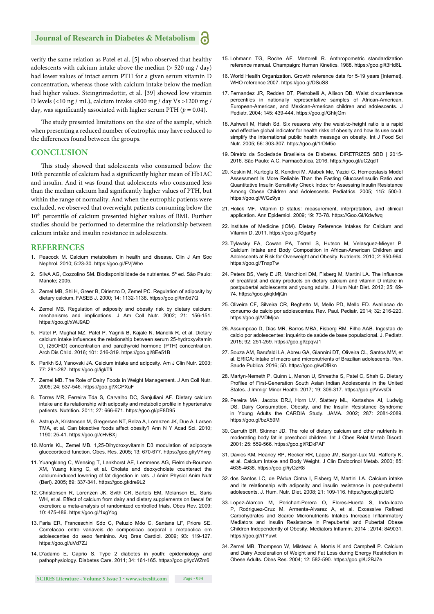#### **Journal of Research in Diabetes & Metabolism**

verify the same relation as Patel et al. [5] who observed that healthy adolescents with calcium intake above the median  $($  > 520 mg  $/$  day) had lower values of intact serum PTH for a given serum vitamin D concentration, whereas those with calcium intake below the median had higher values. Steingrimsdottir, et al. [39] showed low vitamin D levels (<10 ng / mL), calcium intake <800 mg / day Vs >1200 mg / day, was significantly associated with higher serum PTH ( $p = 0.04$ ).

The study presented limitations on the size of the sample, which when presenting a reduced number of eutrophic may have reduced to the differences found between the groups.

#### **CONCLUSION**

This study showed that adolescents who consumed below the 10th percentile of calcium had a significantly higher mean of Hb1AC and insulin. And it was found that adolescents who consumed less than the median calcium had significantly higher values of PTH, but within the range of normality. And when the eutrophic patients were excluded, we observed that overweight patients consuming below the 10<sup>th</sup> percentile of calcium presented higher values of BMI. Further studies should be performed to determine the relationship between calcium intake and insulin resistance in adolescents.

#### **REFERENCES**

- 1. Peacock M. Calcium metabolism in health and disease. Clin J Am Soc Nephrol. 2010; 5:23-30. https://goo.gl/FVjWhe
- SilvA AG, Cozzolino SM. Biodisponibilidade de nutrientes. 5ª ed. São Paulo: Manole; 2005.
- 3. Zemel MB, Shi H, Greer B, Dirienzo D, Zemel PC. Regulation of adiposity by dietary calcium. FASEB J. 2000; 14: 1132-1138. https://goo.gl/tm9d7Q
- 4. Zemel MB. Regulation of adiposity and obesity risk by dietary calcium: mechanisms and implications. J Am Coll Nutr. 2002; 21: 156-151. https://goo.gl/xWJ9AD
- 5. Patel P, Mughal MZ, Patel P, Yagnik B, Kajale N, Mandlik R, et al. Dietary calcium intake influences the relationship between serum 25-hydroxyvitamin D<sub>3</sub> (25OHD) concentration and parathyroid hormone (PTH) concentration. Arch Dis Child. 2016; 101: 316-319. https://goo.gl/8Ee51B
- 6. Parikh SJ, Yanovski JA. Calcium intake and adiposity. Am J Clin Nutr. 2003; 77: 281-287. https://goo.gl/igkTfi
- 7. Zemel MB. The Role of Dairy Foods in Weight Management. J Am Coll Nutr. 2005; 24: 537-546. https://goo.gl/XCPXuF
- 8. Torres MR, Ferreira Tda S, Carvalho DC, Sanjuliani AF. Dietary calcium intake and its relationship with adiposity and metabolic profile in hypertensive patients. Nutrition. 2011; 27: 666-671. https://goo.gl/pE8D95
- 9. Astrup A, Kristensen M, Gregersen NT, Belza A, Lorenzen JK, Due A, Larsen TMA, et al*.* Can bioactive foods affect obesity? Ann N Y Acad Sci. 2010; 1190: 25-41. https://goo.gl/cHvBXj
- 10. Morris KL, Zemel MB. 1,25-Dihydroxyvitamin D3 modulation of adipocyte glucocorticoid function. Obes. Res. 2005; 13: 670-677. https://goo.gl/yVYvrg
- 11. Yuangklang C, Wensing T, Lankhorst AE, Lemmens AG, Fielmich-Bouman XM, Yuang klang C, et al. Cholate and deoxycholate counteract the calcium-induced lowering of fat digestion in rats. J Anim Physiol Anim Nutr (Berl). 2005; 89: 337-341. https://goo.gl/dre9L2
- 12. Christensen R, Lorenzen JK, Svith CR, Bartels EM, Melanson EL, Saris WH, et al. Effect of calcium from dairy and dietary supplements on faecal fat excretion: a meta-analysis of randomized controlled trials. Obes Rev. 2009; 10: 475-486. https://goo.gl/1xgYog
- 13. Faria ER, Franceschini Sdo C, Peluzio Mdo C, Santana LF, Priore SE. Correlacao entre variaveis de composicao corporal e metabolica em adolescentes do sexo feminino. Arq Bras Cardiol. 2009; 93: 119-127. https://goo.gl/uVd7ZJ
- 14. D'adamo E, Caprio S. Type 2 diabetes in youth: epidemiology and pathophysiology. Diabetes Care. 2011; 34: 161-165. https://goo.gl/ycWZm6
- 15. Lohmann TG, Roche AF, Martorell R. Anthropometric standardization reference manual. Champaign: Human Kinetics. 1988. https://goo.gl/t3Hd6L
- 16. World Health Organization. Growth reference data for 5-19 years [Internet]. WHO reference 2007. https://goo.gl/DSuS8
- 17. Fernandez JR, Redden DT, Pietrobelli A, Allison DB. Waist circumference percentiles in nationally representative samples of African-American, European-American, and Mexican-American children and adolescents. J Pediatr. 2004; 145: 439-444. https://goo.gl/GhkjGm
- 18. Ashwell M, Hsieh Sd. Six reasons why the waist-to-height ratio is a rapid and effective global indicator for health risks of obesity and how its use could simplify the international public health message on obesity. Int J Food Sci Nutr. 2005; 56: 303-307. https://goo.gl/1rDM5o
- 19. Diretriz da Sociedade Brasileira de Diabetes. DIRETRIZES SBD | 2015- 2016. São Paulo: A.C. Farmacêutica, 2016. https://goo.gl/uC2qdT
- 20. Keskin M, Kurtoglu S, Kendirci M, Atabek Me, Yazici C. Homeostasis Model Assessment Is More Reliable Than the Fasting Glucose/Insulin Ratio and Quantitative Insulin Sensitivity Check Index for Assessing Insulin Resistance Among Obese Children and Adolescents. Pediatrics. 2005; 115: 500-3. https://goo.gl/WGz9ys
- 21. Holick MF. Vitamin D status: measurement, interpretation, and clinical application. Ann Epidemiol. 2009; 19: 73-78. https://Goo.Gl/Kdwfwq
- 22. Institute of Medicine (IOM). Dietary Reference Intakes for Calcium and Vitamin D, 2011. https://goo.gl/Sgar8y
- 23. Tylavsky FA, Cowan PA, Terrell S, Hutson M, Velasquez-Mieyer P. Calcium Intake and Body Composition in African-American Children and Adolescents at Risk for Overweight and Obesity. Nutrients. 2010; 2: 950-964. https://goo.gl/TnxpTw
- 24. Peters BS, Verly E JR, Marchioni DM, Fisberg M, Martini LA. The influence of breakfast and dairy products on dietary calcium and vitamin D intake in postpubertal adolescents and young adults. J Hum Nutr Diet. 2012; 25: 69- 74. https://goo.gl/qkMjQn
- 25. Oliveira CF, Silveira CR, Beghetto M, Mello PD, Mello ED. Avaliacao do consumo de calcio por adolescentes. Rev. Paul. Pediatr. 2014; 32: 216-220. https://goo.gl/VDMjca
- 26. Assumpcao D, Dias MR, Barros MBA, Fisberg RM, Filho AAB. Ingestao de calcio por adolescentes: inquérito de saúde de base populacional. J. Pediatr. 2015; 92: 251-259. https://goo.gl/zpqvJ1
- 27. Souza AM, Barufaldi LA, Abreu GA, Giannini DT, Oliveira CL, Santos MM, et al. ERICA: intake of macro and micronutrients of Brazilian adolescents. Rev. Saude Publica. 2016; 50. https://goo.gl/wDfBkn
- 28. Martyn-Nemeth P, Quinn L, Menon U, Shrestha S, Patel C, Shah G. Dietary Profiles of First-Generation South Asian Indian Adolescents in the United States. J Immigr Minor Health. 2017; 19: 309-317. https://goo.gl/VvvsDi
- 29. Pereira MA, Jacobs DRJ, Horn LV, Slattery ML, Kartashov AI, Ludwig DS. Dairy Consumption, Obesity, and the Insulin Resistance Syndrome in Young Adults the CARDIA Study. JAMA. 2002; 287: 2081-2089. https://goo.gl/bzX59M
- 30. Carruth BR, Skinner JD. The role of dietary calcium and other nutrients in moderating body fat in preschool children*.* Int J Obes Relat Metab Disord. 2001*;* 25: 559-566*.* https://goo.gl/RDkPAF
- 31. Davies KM, Heaney RP, Recker RR, Lappe JM, Barger-Lux MJ, Rafferty K, et al. Calcium Intake and Body Weight. J Clin Endocrinol Metab. 2000; 85: 4635-4638. https://goo.gl/iyQzR8
- 32. dos Santos LC, de Pádua Cintra I, Fisberg M, Martini LA. Calcium intake and its relationship with adiposity and insulin resistance in post-pubertal adolescents. J. Hum. Nutr. Diet. 2008; 21: 109-116. https://goo.gl/pLtkfQ
- 33. Lopez-Alarcon M, Perichart-Perera O, Flores-Huerta S, Inda-Icaza P, Rodriguez-Cruz M, Armenta-Alvarez A, et al. Excessive Refined Carbohydrates and Scarce Micronutrients Intakes Increase Inflammatory Mediators and Insulin Resistance in Prepubertal and Pubertal Obese Children Independently of Obesity. Mediators Inflamm. 2014 ; 2014: 849031. https://goo.gl/iTYuwt
- 34. Zemel MB, Thompson W, Milstead A, Morris K and Campbell P. Calcium and Dairy Acceleration of Weight and Fat Loss during Energy Restriction in Obese Adults. Obes Res. 2004; 12: 582-590. https://goo.gl/U2BJ7e